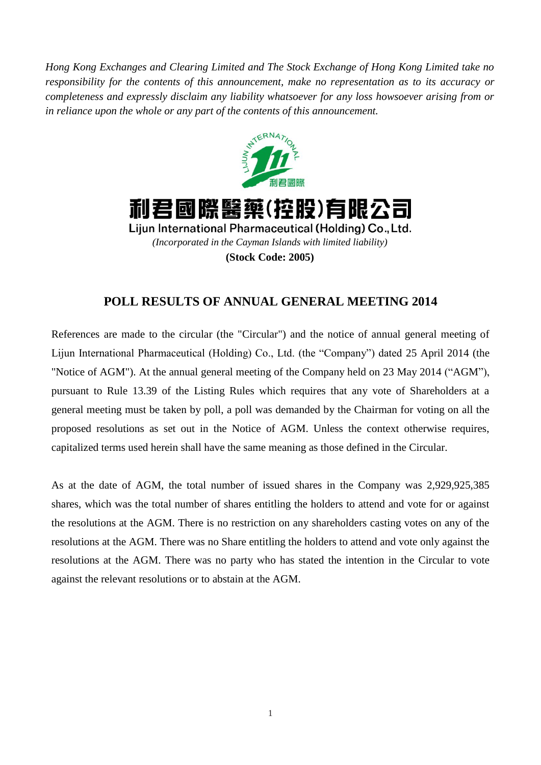*Hong Kong Exchanges and Clearing Limited and The Stock Exchange of Hong Kong Limited take no responsibility for the contents of this announcement, make no representation as to its accuracy or completeness and expressly disclaim any liability whatsoever for any loss howsoever arising from or in reliance upon the whole or any part of the contents of this announcement.*





Lijun International Pharmaceutical (Holding) Co., Ltd. *(Incorporated in the Cayman Islands with limited liability)* **(Stock Code: 2005)**

## **POLL RESULTS OF ANNUAL GENERAL MEETING 2014**

References are made to the circular (the "Circular") and the notice of annual general meeting of Lijun International Pharmaceutical (Holding) Co., Ltd. (the "Company") dated 25 April 2014 (the "Notice of AGM"). At the annual general meeting of the Company held on 23 May 2014 ("AGM"), pursuant to Rule 13.39 of the Listing Rules which requires that any vote of Shareholders at a general meeting must be taken by poll, a poll was demanded by the Chairman for voting on all the proposed resolutions as set out in the Notice of AGM. Unless the context otherwise requires, capitalized terms used herein shall have the same meaning as those defined in the Circular.

As at the date of AGM, the total number of issued shares in the Company was 2,929,925,385 shares, which was the total number of shares entitling the holders to attend and vote for or against the resolutions at the AGM. There is no restriction on any shareholders casting votes on any of the resolutions at the AGM. There was no Share entitling the holders to attend and vote only against the resolutions at the AGM. There was no party who has stated the intention in the Circular to vote against the relevant resolutions or to abstain at the AGM.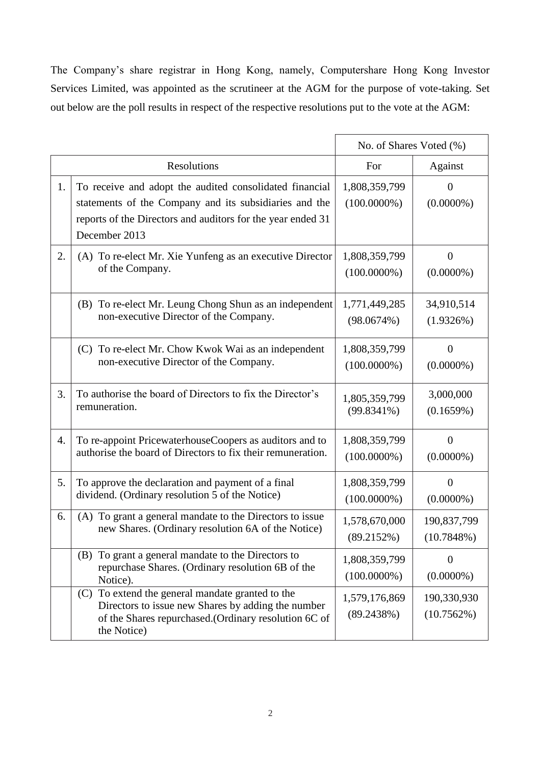The Company's share registrar in Hong Kong, namely, Computershare Hong Kong Investor Services Limited, was appointed as the scrutineer at the AGM for the purpose of vote-taking. Set out below are the poll results in respect of the respective resolutions put to the vote at the AGM:

|             |                                                                                                                                                                                                   | No. of Shares Voted (%)         |                                |
|-------------|---------------------------------------------------------------------------------------------------------------------------------------------------------------------------------------------------|---------------------------------|--------------------------------|
| Resolutions |                                                                                                                                                                                                   | For                             | Against                        |
| 1.          | To receive and adopt the audited consolidated financial<br>statements of the Company and its subsidiaries and the<br>reports of the Directors and auditors for the year ended 31<br>December 2013 | 1,808,359,799<br>$(100.0000\%)$ | $\overline{0}$<br>$(0.0000\%)$ |
| 2.          | (A) To re-elect Mr. Xie Yunfeng as an executive Director                                                                                                                                          | 1,808,359,799                   | $\boldsymbol{0}$               |
|             | of the Company.                                                                                                                                                                                   | $(100.0000\%)$                  | $(0.0000\%)$                   |
|             | (B) To re-elect Mr. Leung Chong Shun as an independent                                                                                                                                            | 1,771,449,285                   | 34,910,514                     |
|             | non-executive Director of the Company.                                                                                                                                                            | (98.0674%)                      | (1.9326%)                      |
|             | (C) To re-elect Mr. Chow Kwok Wai as an independent                                                                                                                                               | 1,808,359,799                   | $\overline{0}$                 |
|             | non-executive Director of the Company.                                                                                                                                                            | $(100.0000\%)$                  | $(0.0000\%)$                   |
| 3.          | To authorise the board of Directors to fix the Director's                                                                                                                                         | 1,805,359,799                   | 3,000,000                      |
|             | remuneration.                                                                                                                                                                                     | $(99.8341\%)$                   | (0.1659%)                      |
| 4.          | To re-appoint PricewaterhouseCoopers as auditors and to                                                                                                                                           | 1,808,359,799                   | $\boldsymbol{0}$               |
|             | authorise the board of Directors to fix their remuneration.                                                                                                                                       | $(100.0000\%)$                  | $(0.0000\%)$                   |
| 5.          | To approve the declaration and payment of a final                                                                                                                                                 | 1,808,359,799                   | $\theta$                       |
|             | dividend. (Ordinary resolution 5 of the Notice)                                                                                                                                                   | $(100.0000\%)$                  | $(0.0000\%)$                   |
| 6.          | (A) To grant a general mandate to the Directors to issue                                                                                                                                          | 1,578,670,000                   | 190,837,799                    |
|             | new Shares. (Ordinary resolution 6A of the Notice)                                                                                                                                                | (89.2152%)                      | (10.7848%)                     |
|             | To grant a general mandate to the Directors to<br>(B)<br>repurchase Shares. (Ordinary resolution 6B of the<br>Notice).                                                                            | 1,808,359,799<br>$(100.0000\%)$ | $\overline{0}$<br>$(0.0000\%)$ |
|             | To extend the general mandate granted to the<br>(C)<br>Directors to issue new Shares by adding the number<br>of the Shares repurchased.(Ordinary resolution 6C of<br>the Notice)                  | 1,579,176,869<br>(89.2438%)     | 190,330,930<br>(10.7562%)      |